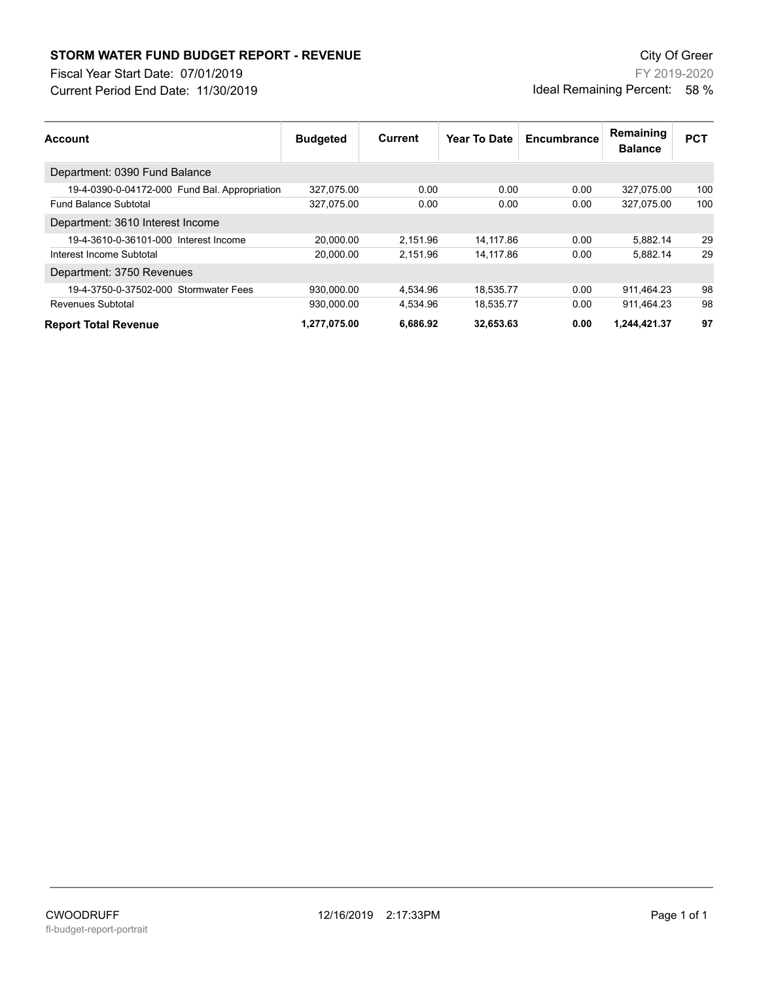## **STORM WATER FUND BUDGET REPORT - REVENUE City Of Green** City Of Green

Fiscal Year Start Date: 07/01/2019

Current Period End Date: 11/30/2019

FY 2019-2020 Ideal Remaining Percent: 58 %

| <b>Account</b>                                | <b>Budgeted</b> | Current  | Year To Date | Encumbrance | Remaining<br><b>Balance</b> | <b>PCT</b> |
|-----------------------------------------------|-----------------|----------|--------------|-------------|-----------------------------|------------|
| Department: 0390 Fund Balance                 |                 |          |              |             |                             |            |
| 19-4-0390-0-04172-000 Fund Bal. Appropriation | 327,075.00      | 0.00     | 0.00         | 0.00        | 327,075.00                  | 100        |
| <b>Fund Balance Subtotal</b>                  | 327.075.00      | 0.00     | 0.00         | 0.00        | 327.075.00                  | 100        |
| Department: 3610 Interest Income              |                 |          |              |             |                             |            |
| 19-4-3610-0-36101-000 Interest Income         | 20.000.00       | 2.151.96 | 14.117.86    | 0.00        | 5.882.14                    | 29         |
| Interest Income Subtotal                      | 20.000.00       | 2.151.96 | 14.117.86    | 0.00        | 5.882.14                    | 29         |
| Department: 3750 Revenues                     |                 |          |              |             |                             |            |
| 19-4-3750-0-37502-000 Stormwater Fees         | 930.000.00      | 4.534.96 | 18.535.77    | 0.00        | 911.464.23                  | 98         |
| Revenues Subtotal                             | 930.000.00      | 4.534.96 | 18.535.77    | 0.00        | 911.464.23                  | 98         |
| <b>Report Total Revenue</b>                   | 1.277.075.00    | 6.686.92 | 32.653.63    | 0.00        | 1.244.421.37                | 97         |